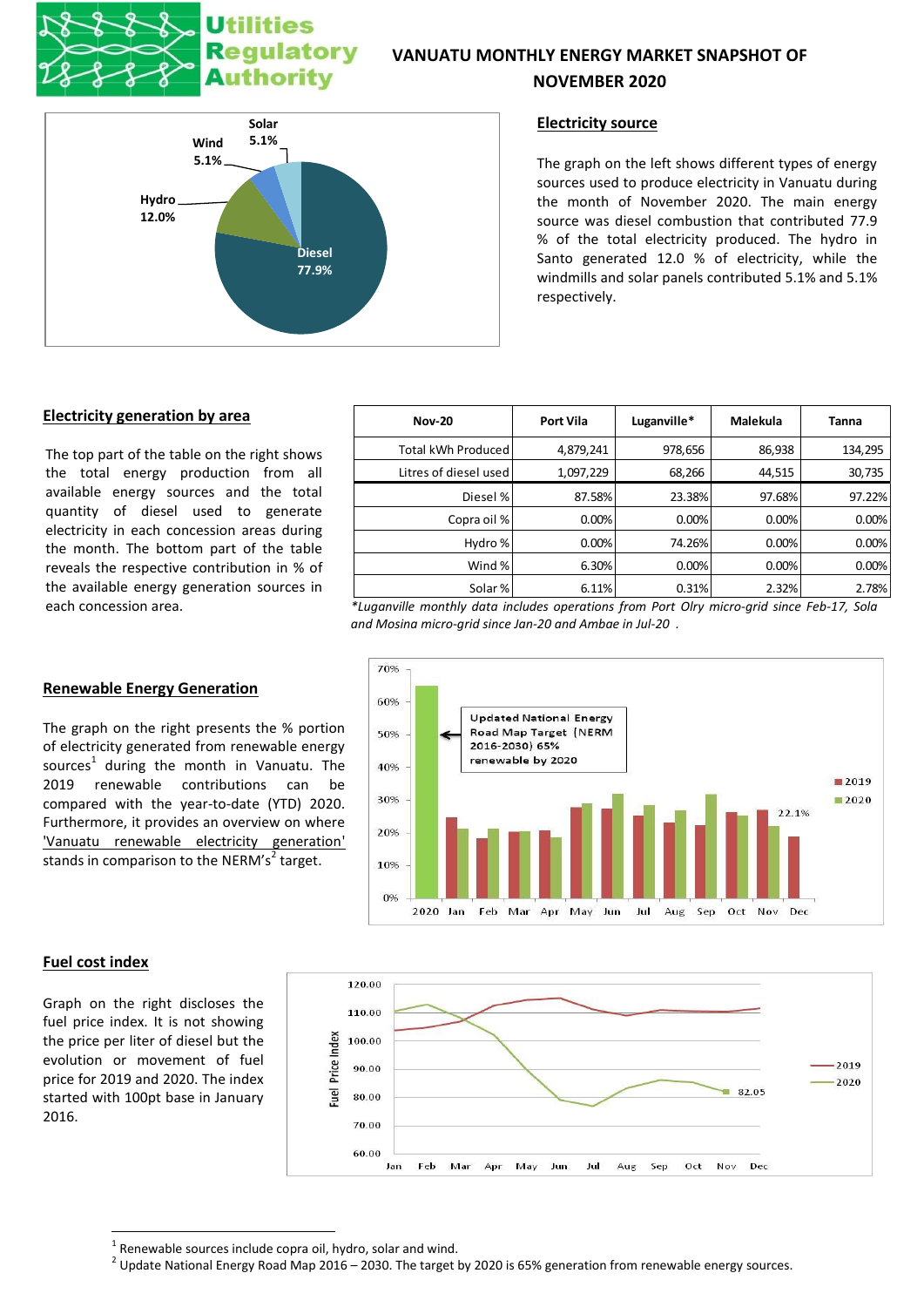# **Utilities** Regulatory Authority

## **VANUATU MONTHLY ENERGY MARKET SNAPSHOT OF**

## **NOVEMBER 2020**



### **Electricity source**

The graph on the left shows different types of energy sources used to produce electricity in Vanuatu during the month of November 2020. The main energy source was diesel combustion that contributed 77.9 % of the total electricity produced. The hydro in Santo generated 12.0 % of electricity, while the windmills and solar panels contributed 5.1% and 5.1% respectively.

## **Electricity generation by area**

The top part of the table on the right shows the total energy production from all available energy sources and the total quantity of diesel used to generate electricity in each concession areas during the month. The bottom part of the table reveals the respective contribution in % of the available energy generation sources in

#### **Renewable Energy Generation**

The graph on the right presents the % portion of electricity generated from renewable energy sources<sup>1</sup> during the month in Vanuatu. The 2019 renewable contributions can be compared with the year-to-date (YTD) 2020. Furthermore, it provides an overview on where 'Vanuatu renewable electricity generation' stands in comparison to the NERM's<sup>2</sup> target.

| <b>Nov-20</b>         | <b>Port Vila</b> | Luganville* | Malekula | <b>Tanna</b> |
|-----------------------|------------------|-------------|----------|--------------|
| Total kWh Produced    | 4,879,241        | 978,656     | 86,938   | 134,295      |
| Litres of diesel used | 1,097,229        | 68,266      | 44,515   | 30,735       |
| Diesel %              | 87.58%           | 23.38%      | 97.68%   | 97.22%       |
| Copra oil %           | 0.00%            | 0.00%       | 0.00%    | 0.00%        |
| Hydro %               | 0.00%            | 74.26%      | 0.00%    | 0.00%        |
| Wind %                | 6.30%            | 0.00%       | 0.00%    | 0.00%        |
| Solar %               | 6.11%            | 0.31%       | 2.32%    | 2.78%        |

each concession area. *\*Luganville monthly data includes operations from Port Olry micro-grid since Feb-17, Sola and Mosina micro-grid since Jan-20 and Ambae in Jul-20 .*





**.** 

Graph on the right discloses the fuel price index. It is not showing the price per liter of diesel but the evolution or movement of fuel price for 2019 and 2020. The index started with 100pt base in January 2016.



 $1$  Renewable sources include copra oil, hydro, solar and wind.

 $^2$  Update National Energy Road Map 2016 – 2030. The target by 2020 is 65% generation from renewable energy sources.